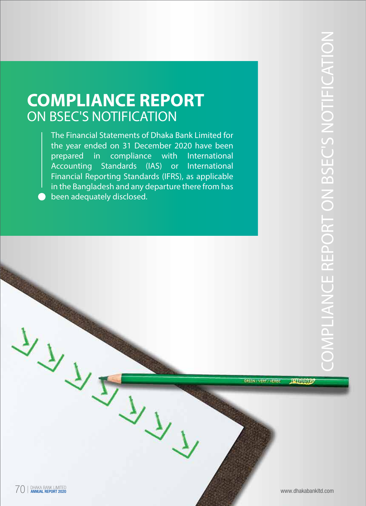The Financial Statements of Dhaka Bank Limited for the year ended on 31 December 2020 have been prepared in comp compliance with International Accounting Standards (IAS) or International Financial Reporting Standards (IFRS), as applicable in the Bangladesh and any departure there from has been adequately disclosed.

**ETVING** 

GREEN / VERT / VERDE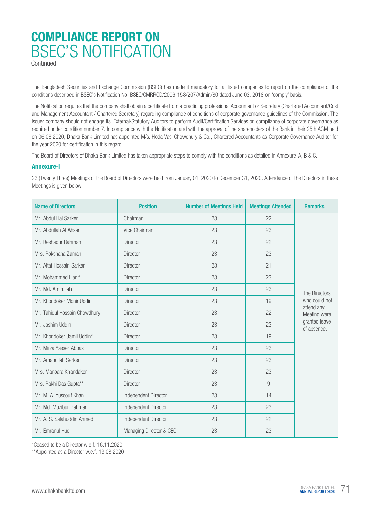**Continued** 

The Bangladesh Securities and Exchange Commission (BSEC) has made it mandatory for all listed companies to report on the compliance of the conditions described in BSEC's Notification No. BSEC/CMRRCD/2006-158/207/Admin/80 dated June 03, 2018 on 'comply' basis.

The Notification requires that the company shall obtain a certificate from a practicing professional Accountant or Secretary (Chartered Accountant/Cost and Management Accountant / Chartered Secretary) regarding compliance of conditions of corporate governance guidelines of the Commission. The issuer company should not engage its' External/Statutory Auditors to perform Audit/Certification Services on compliance of corporate governance as required under condition number 7. In compliance with the Notification and with the approval of the shareholders of the Bank in their 25th AGM held on 06.08.2020, Dhaka Bank Limited has appointed M/s. Hoda Vasi Chowdhury & Co., Chartered Accountants as Corporate Governance Auditor for the year 2020 for certification in this regard.

The Board of Directors of Dhaka Bank Limited has taken appropriate steps to comply with the conditions as detailed in Annexure-A, B & C.

#### **Annexure-I**

23 (Twenty Three) Meetings of the Board of Directors were held from January 01, 2020 to December 31, 2020. Attendance of the Directors in these Meetings is given below:

| <b>Name of Directors</b>      | <b>Position</b>         | <b>Number of Meetings Held</b> | <b>Meetings Attended</b> | <b>Remarks</b>               |
|-------------------------------|-------------------------|--------------------------------|--------------------------|------------------------------|
| Mr. Abdul Hai Sarker          | Chairman                | 23                             | 22                       |                              |
| Mr. Abdullah Al Ahsan         | Vice Chairman           | 23                             | 23                       |                              |
| Mr. Reshadur Rahman           | <b>Director</b>         | 23                             | 22                       |                              |
| Mrs. Rokshana Zaman           | Director                | 23                             | 23                       |                              |
| Mr. Altaf Hossain Sarker      | <b>Director</b>         | 23                             | 21                       |                              |
| Mr. Mohammed Hanif            | Director                | 23                             | 23                       |                              |
| Mr. Md. Amirullah             | <b>Director</b>         | 23                             | 23                       | The Directors                |
| Mr. Khondoker Monir Uddin     | Director                | 23                             | 19                       | who could not                |
| Mr. Tahidul Hossain Chowdhury | Director                | 23                             | 22                       | attend any<br>Meeting were   |
| Mr. Jashim Uddin              | <b>Director</b>         | 23                             | 23                       | granted leave<br>of absence. |
| Mr. Khondoker Jamil Uddin*    | Director                | 23                             | 19                       |                              |
| Mr. Mirza Yasser Abbas        | Director                | 23                             | 23                       |                              |
| Mr. Amanullah Sarker          | Director                | 23                             | 23                       |                              |
| Mrs. Manoara Khandaker        | <b>Director</b>         | 23                             | 23                       |                              |
| Mrs. Rakhi Das Gupta**        | Director                | 23                             | 9                        |                              |
| Mr. M. A. Yussouf Khan        | Independent Director    | 23                             | 14                       |                              |
| Mr. Md. Muzibur Rahman        | Independent Director    | 23                             | 23                       |                              |
| Mr. A. S. Salahuddin Ahmed    | Independent Director    | 23                             | 22                       |                              |
| Mr. Emranul Huq               | Managing Director & CEO | 23                             | 23                       |                              |

\*Ceased to be a Director w.e.f. 16.11.2020

\*\*Appointed as a Director w.e.f. 13.08.2020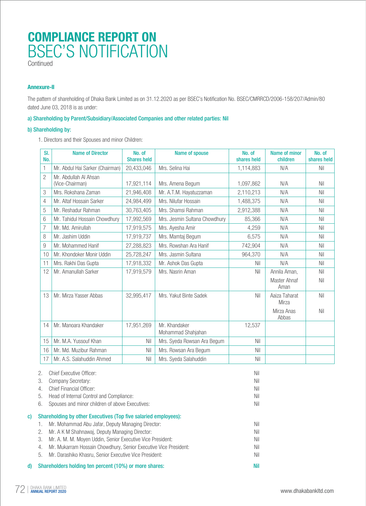Continued

#### **Annexure-II**

The pattern of shareholding of Dhaka Bank Limited as on 31.12.2020 as per BSEC's Notification No. BSEC/CMRRCD/2006-158/207/Admin/80 dated June 03, 2018 is as under:

#### a) Shareholding by Parent/Subsidiary/Associated Companies and other related parties: Nil

#### b) Shareholding by:

1. Directors and their Spouses and minor Children:

| SI.<br>No.     | <b>Name of Director</b>                  | No. of<br><b>Shares held</b> | Name of spouse                      | No. of<br>shares held | Name of minor<br>children | No. of<br>shares held |
|----------------|------------------------------------------|------------------------------|-------------------------------------|-----------------------|---------------------------|-----------------------|
| 1              | Mr. Abdul Hai Sarker (Chairman)          | 20,433,046                   | Mrs. Selina Hai                     | 1,114,883             | N/A                       | Nil                   |
| $\overline{2}$ | Mr. Abdullah Al Ahsan<br>(Vice-Chairman) | 17,921,114                   | Mrs. Amena Begum                    | 1,097,862             | N/A                       | Nil                   |
| 3              | Mrs. Rokshana Zaman                      | 21,946,408                   | Mr. A.T.M. Hayatuzzaman             | 2,110,213             | N/A                       | Nil                   |
| 4              | Mr. Altaf Hossain Sarker                 | 24,984,499                   | Mrs. Nilufar Hossain                | 1,488,375             | N/A                       | Nil                   |
| 5              | Mr. Reshadur Rahman                      | 30,763,405                   | Mrs. Shamsi Rahman                  | 2,912,388             | N/A                       | Nil                   |
| 6              | Mr. Tahidul Hossain Chowdhury            | 17,992,569                   | Mrs. Jesmin Sultana Chowdhury       | 85,366                | N/A                       | Nil                   |
| 7              | Mr. Md. Amirullah                        | 17,919,575                   | Mrs. Ayesha Amir                    | 4,259                 | N/A                       | Nil                   |
| 8              | Mr. Jashim Uddin                         | 17,919,737                   | Mrs. Mamtaj Begum                   | 6,575                 | N/A                       | Nil                   |
| 9              | Mr. Mohammed Hanif                       | 27,288,823                   | Mrs. Rowshan Ara Hanif              | 742,904               | N/A                       | Nil                   |
| 10             | Mr. Khondoker Monir Uddin                | 25,728,247                   | Mrs. Jasmin Sultana                 | 964,370               | N/A                       | Nil                   |
| 11             | Mrs. Rakhi Das Gupta                     | 17,918,332                   | Mr. Ashok Das Gupta                 | Nil                   | N/A                       | Nil                   |
| 12             | Mr. Amanullah Sarker                     | 17,919,579                   | Mrs. Nasrin Aman                    | Nil                   | Annila Aman,              | Nil                   |
|                |                                          |                              |                                     |                       | Master Ahnaf<br>Aman      | Nil                   |
| 13             | Mr. Mirza Yasser Abbas                   | 32,995,417                   | Mrs. Yakut Binte Sadek              | Nil                   | Aaiza Taharat<br>Mirza    | Nil                   |
|                |                                          |                              |                                     |                       | Mirza Anas<br>Abbas       | Nil                   |
| 14             | Mr. Manoara Khandaker                    | 17,951,269                   | Mr. Khandaker<br>Mohammad Shahjahan | 12,537                |                           |                       |
| 15             | Mr. M.A. Yussouf Khan                    | Nil                          | Mrs. Syeda Rowsan Ara Begum         | Nil                   |                           |                       |
| 16             | Mr. Md. Muzibur Rahman                   | Nil                          | Mrs. Rowsan Ara Begum               | Nil                   |                           |                       |
| 17             | Mr. A.S. Salahuddin Ahmed                | Nil                          | Mrs. Syeda Salahuddin               | Nil                   |                           |                       |

| d) |    | Shareholders holding ten percent (10%) or more shares:           | Nil |
|----|----|------------------------------------------------------------------|-----|
|    | 5. | Mr. Darashiko Khasru, Senior Executive Vice President:           | Nil |
|    | 4. | Mr. Mukarram Hossain Chowdhury, Senior Executive Vice President: | Nil |
|    | 3. | Mr. A. M. M. Moyen Uddin, Senior Executive Vice President:       | Nil |
|    | 2. | Mr. A K M Shahnawaj, Deputy Managing Director:                   | Nil |
|    |    | Mr. Mohammad Abu Jafar, Deputy Managing Director:                | Nil |
| C) |    | Shareholding by other Executives (Top five salaried employees):  |     |
|    | 6. | Spouses and minor children of above Executives:                  | Nil |
|    | 5. | Head of Internal Control and Compliance:                         | Nil |
|    | 4. | Chief Financial Officer:                                         | Nil |
|    | 3. | Company Secretary:                                               | Nil |
|    | 2. | Chief Executive Officer:                                         | Nil |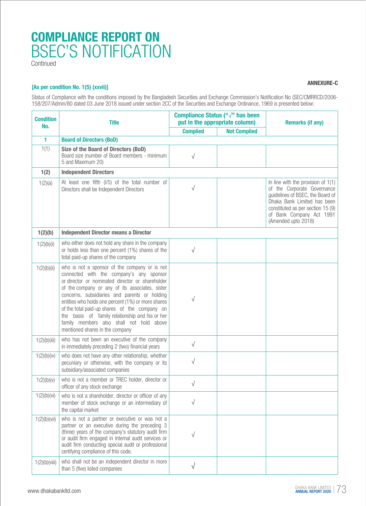**Continued** 

#### **[As per condition No. 1(5) (xxvii)]**

**ANNEXURE-C**

Status of Compliance with the conditions imposed by the Bangladesh Securities and Exchange Commission's Notification No (SEC/CMRRCD/2006- 158/207/Admin/80 dated 03 June 2018 issued under section 2CC of the Securities and Exchange Ordinance, 1969 is presented below:

| <b>Condition</b><br>No. | <b>Title</b>                                                                                                                                                                                                                                                                                                                                                                                                                                                                               | Compliance Status (" $\sqrt{ }$ " has been<br>put in the appropriate column) |                     | <b>Remarks (if any)</b>                                                                                                                                                                                                        |  |
|-------------------------|--------------------------------------------------------------------------------------------------------------------------------------------------------------------------------------------------------------------------------------------------------------------------------------------------------------------------------------------------------------------------------------------------------------------------------------------------------------------------------------------|------------------------------------------------------------------------------|---------------------|--------------------------------------------------------------------------------------------------------------------------------------------------------------------------------------------------------------------------------|--|
|                         |                                                                                                                                                                                                                                                                                                                                                                                                                                                                                            | <b>Complied</b>                                                              | <b>Not Complied</b> |                                                                                                                                                                                                                                |  |
| 1                       | <b>Board of Directors (BoD)</b>                                                                                                                                                                                                                                                                                                                                                                                                                                                            |                                                                              |                     |                                                                                                                                                                                                                                |  |
| 1(1)                    | Size of the Board of Directors (BoD)<br>Board size (number of Board members - minimum<br>5 and Maximum 20)                                                                                                                                                                                                                                                                                                                                                                                 | $\sqrt{}$                                                                    |                     |                                                                                                                                                                                                                                |  |
| 1(2)                    | <b>Independent Directors</b>                                                                                                                                                                                                                                                                                                                                                                                                                                                               |                                                                              |                     |                                                                                                                                                                                                                                |  |
| 1(2)(a)                 | At least one fifth (I/5) of the total number of<br>Directors shall be Independent Directors                                                                                                                                                                                                                                                                                                                                                                                                | $\sqrt{}$                                                                    |                     | In line with the provision of $1(1)$<br>of the Corporate Governance<br>guidelines of BSEC, the Board of<br>Dhaka Bank Limited has been<br>constituted as per section 15 (9)<br>of Bank Company Act 1991<br>(Amended upto 2018) |  |
| 1(2)(b)                 | <b>Independent Director means a Director</b>                                                                                                                                                                                                                                                                                                                                                                                                                                               |                                                                              |                     |                                                                                                                                                                                                                                |  |
| 1(2)(b)(i)              | who either does not hold any share in the company<br>or holds less than one percent (1%) shares of the<br>total paid-up shares of the company                                                                                                                                                                                                                                                                                                                                              | $\sqrt{}$                                                                    |                     |                                                                                                                                                                                                                                |  |
| 1(2)(b)(ii)             | who is not a sponsor of the company or is not<br>connected with the company's any sponsor<br>or director or nominated director or shareholder<br>of the company or any of its associates, sister<br>concerns, subsidiaries and parents or holding<br>entities who holds one percent (1%) or more shares<br>of the total paid-up shares of the company on<br>the basis of family relationship and his or her<br>family members also shall not hold above<br>mentioned shares in the company | $\sqrt{}$                                                                    |                     |                                                                                                                                                                                                                                |  |
| 1(2)(b)(iii)            | who has not been an executive of the company<br>in immediately preceding 2 (two) financial years                                                                                                                                                                                                                                                                                                                                                                                           | $\sqrt{}$                                                                    |                     |                                                                                                                                                                                                                                |  |
| 1(2)(b)(iv)             | who does not have any other relationship, whether<br>pecuniary or otherwise, with the company or its<br>subsidiary/associated companies                                                                                                                                                                                                                                                                                                                                                    | $\sqrt{}$                                                                    |                     |                                                                                                                                                                                                                                |  |
| 1(2)(b)(v)              | who is not a member or TREC holder, director or<br>officer of any stock exchange                                                                                                                                                                                                                                                                                                                                                                                                           | $\sqrt{}$                                                                    |                     |                                                                                                                                                                                                                                |  |
| 1(2)(b)(vi)             | who is not a shareholder, director or officer of any<br>member of stock exchange or an intermediary of<br>the capital market                                                                                                                                                                                                                                                                                                                                                               | $\sqrt{}$                                                                    |                     |                                                                                                                                                                                                                                |  |
| 1(2)(b)(vii)            | who is not a partner or executive or was not a<br>partner or an executive during the preceding 3<br>(three) years of the company's statutory audit firm<br>or audit firm engaged in internal audit services or<br>audit firm conducting special audit or professional<br>certifying compliance of this code.                                                                                                                                                                               | $\sqrt{}$                                                                    |                     |                                                                                                                                                                                                                                |  |
| 1(2)(b)(viii)           | who shall not be an independent director in more<br>than 5 (five) listed companies                                                                                                                                                                                                                                                                                                                                                                                                         | $\sqrt{}$                                                                    |                     |                                                                                                                                                                                                                                |  |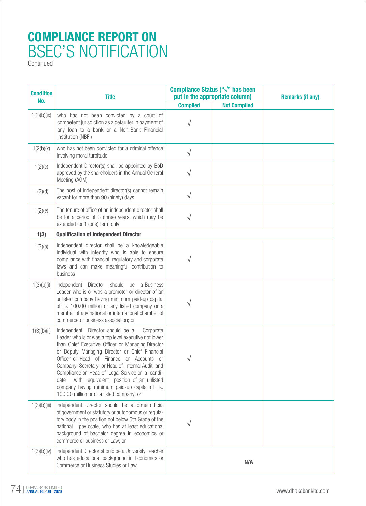| <b>Condition</b> | <b>Title</b>                                                                                                                                                                                                                                                                                                                                                                                                                                                                                                     | Compliance Status (" $\sqrt{ }$ " has been<br>put in the appropriate column) |                     | <b>Remarks (if any)</b> |
|------------------|------------------------------------------------------------------------------------------------------------------------------------------------------------------------------------------------------------------------------------------------------------------------------------------------------------------------------------------------------------------------------------------------------------------------------------------------------------------------------------------------------------------|------------------------------------------------------------------------------|---------------------|-------------------------|
| No.              |                                                                                                                                                                                                                                                                                                                                                                                                                                                                                                                  | <b>Complied</b>                                                              | <b>Not Complied</b> |                         |
| 1(2)(b)(ix)      | who has not been convicted by a court of<br>competent jurisdiction as a defaulter in payment of<br>any loan to a bank or a Non-Bank Financial<br>Institution (NBFI)                                                                                                                                                                                                                                                                                                                                              | √                                                                            |                     |                         |
| 1(2(b)(x))       | who has not been convicted for a criminal offence<br>involving moral turpitude                                                                                                                                                                                                                                                                                                                                                                                                                                   | $\sqrt{}$                                                                    |                     |                         |
| 1(2)(c)          | Independent Director(s) shall be appointed by BoD<br>approved by the shareholders in the Annual General<br>Meeting (AGM)                                                                                                                                                                                                                                                                                                                                                                                         | $\sqrt{}$                                                                    |                     |                         |
| 1(2)(d)          | The post of independent director(s) cannot remain<br>vacant for more than 90 (ninety) days                                                                                                                                                                                                                                                                                                                                                                                                                       | $\sqrt{}$                                                                    |                     |                         |
| 1(2)(e)          | The tenure of office of an independent director shall<br>be for a period of 3 (three) years, which may be<br>extended for 1 (one) term only                                                                                                                                                                                                                                                                                                                                                                      | $\sqrt{}$                                                                    |                     |                         |
| 1(3)             | <b>Qualification of Independent Director</b>                                                                                                                                                                                                                                                                                                                                                                                                                                                                     |                                                                              |                     |                         |
| 1(3)(a)          | Independent director shall be a knowledgeable<br>individual with integrity who is able to ensure<br>compliance with financial, regulatory and corporate<br>laws and can make meaningful contribution to<br>business                                                                                                                                                                                                                                                                                              | V                                                                            |                     |                         |
| 1(3)(b)(i)       | Independent Director should be a Business<br>Leader who is or was a promoter or director of an<br>unlisted company having minimum paid-up capital<br>of Tk 100.00 million or any listed company or a<br>member of any national or international chamber of<br>commerce or business association; or                                                                                                                                                                                                               | $\sqrt{}$                                                                    |                     |                         |
| 1(3)(b)(ii)      | Independent Director should be a<br>Corporate<br>Leader who is or was a top level executive not lower<br>than Chief Executive Officer or Managing Director<br>or Deputy Managing Director or Chief Financial<br>Officer or Head of Finance or Accounts or<br>Company Secretary or Head of Internal Audit and<br>Compliance or Head of Legal Service or a candi-<br>with equivalent position of an unlisted<br>date<br>company having minimum paid-up capital of Tk.<br>100.00 million or of a listed company; or |                                                                              |                     |                         |
| 1(3)(b)(iii)     | Independent Director should be a Former official<br>of government or statutory or autonomous or regula-<br>tory body in the position not below 5th Grade of the<br>national pay scale, who has at least educational<br>background of bachelor degree in economics or<br>commerce or business or Law; or                                                                                                                                                                                                          |                                                                              |                     |                         |
| 1(3)(b)(iv)      | Independent Director should be a University Teacher<br>who has educational background in Economics or<br>Commerce or Business Studies or Law                                                                                                                                                                                                                                                                                                                                                                     |                                                                              | N/A                 |                         |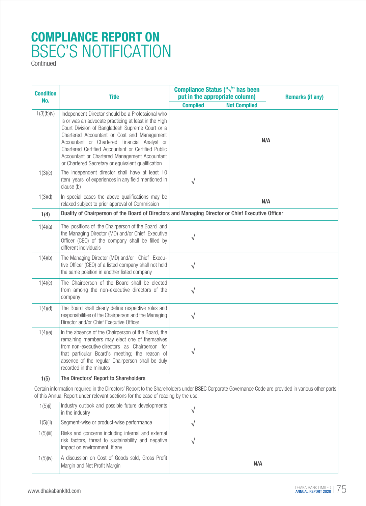| <b>Condition</b> | <b>Title</b>                                                                                                                                                                                                                                                                                                                                                                                                              | Compliance Status (" $\sqrt{ }$ " has been<br>put in the appropriate column)                      |                     | <b>Remarks (if any)</b> |  |
|------------------|---------------------------------------------------------------------------------------------------------------------------------------------------------------------------------------------------------------------------------------------------------------------------------------------------------------------------------------------------------------------------------------------------------------------------|---------------------------------------------------------------------------------------------------|---------------------|-------------------------|--|
| No.              |                                                                                                                                                                                                                                                                                                                                                                                                                           | <b>Complied</b>                                                                                   | <b>Not Complied</b> |                         |  |
| 1(3)(b)(v)       | Independent Director should be a Professional who<br>is or was an advocate practicing at least in the High<br>Court Division of Bangladesh Supreme Court or a<br>Chartered Accountant or Cost and Management<br>Accountant or Chartered Financial Analyst or<br>Chartered Certified Accountant or Certified Public<br>Accountant or Chartered Management Accountant<br>or Chartered Secretary or equivalent qualification | N/A                                                                                               |                     |                         |  |
| 1(3)(c)          | The independent director shall have at least 10<br>(ten) years of experiences in any field mentioned in<br>clause (b)                                                                                                                                                                                                                                                                                                     | $\sqrt{}$                                                                                         |                     |                         |  |
| 1(3)(d)          | In special cases the above qualifications may be<br>relaxed subject to prior approval of Commission                                                                                                                                                                                                                                                                                                                       |                                                                                                   | N/A                 |                         |  |
| 1(4)             |                                                                                                                                                                                                                                                                                                                                                                                                                           | Duality of Chairperson of the Board of Directors and Managing Director or Chief Executive Officer |                     |                         |  |
| 1(4)(a)          | The positions of the Chairperson of the Board and<br>the Managing Director (MD) and/or Chief Executive<br>Officer (CEO) of the company shall be filled by<br>different individuals                                                                                                                                                                                                                                        | V                                                                                                 |                     |                         |  |
| 1(4)(b)          | The Managing Director (MD) and/or Chief Execu-<br>tive Officer (CEO) of a listed company shall not hold<br>the same position in another listed company                                                                                                                                                                                                                                                                    | $\sqrt{}$                                                                                         |                     |                         |  |
| 1(4)(c)          | The Chairperson of the Board shall be elected<br>from among the non-executive directors of the<br>company                                                                                                                                                                                                                                                                                                                 | $\sqrt{}$                                                                                         |                     |                         |  |
| 1(4)(d)          | The Board shall clearly define respective roles and<br>responsibilities of the Chairperson and the Managing<br>Director and/or Chief Executive Officer                                                                                                                                                                                                                                                                    | $\sqrt{}$                                                                                         |                     |                         |  |
| 1(4)(e)          | In the absence of the Chairperson of the Board, the<br>remaining members may elect one of themselves<br>from non-executive directors as Chairperson for<br>that particular Board's meeting; the reason of<br>absence of the regular Chairperson shall be duly<br>recorded in the minutes                                                                                                                                  | V                                                                                                 |                     |                         |  |
| 1(5)             | The Directors' Report to Shareholders                                                                                                                                                                                                                                                                                                                                                                                     |                                                                                                   |                     |                         |  |
|                  | Certain information required in the Directors' Report to the Shareholders under BSEC Corporate Governance Code are provided in various other parts<br>of this Annual Report under relevant sections for the ease of reading by the use.                                                                                                                                                                                   |                                                                                                   |                     |                         |  |
| 1(5)(i)          | Industry outlook and possible future developments<br>in the industry                                                                                                                                                                                                                                                                                                                                                      | √                                                                                                 |                     |                         |  |
| 1(5)(ii)         | Segment-wise or product-wise performance                                                                                                                                                                                                                                                                                                                                                                                  | $\sqrt{}$                                                                                         |                     |                         |  |
| 1(5)(iii)        | Risks and concerns including internal and external<br>risk factors, threat to sustainability and negative<br>impact on environment, if any                                                                                                                                                                                                                                                                                | V                                                                                                 |                     |                         |  |
| 1(5)(iv)         | A discussion on Cost of Goods sold, Gross Profit<br>Margin and Net Profit Margin                                                                                                                                                                                                                                                                                                                                          |                                                                                                   | N/A                 |                         |  |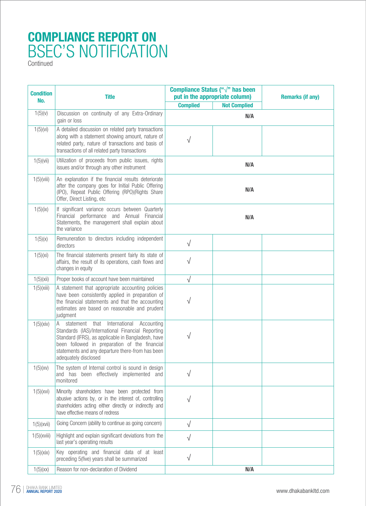| <b>Condition</b> | <b>Title</b>                                                                                                                                                                                                                                                                               | Compliance Status (" $\sqrt{ }$ " has been<br>put in the appropriate column) |                     | <b>Remarks (if any)</b> |
|------------------|--------------------------------------------------------------------------------------------------------------------------------------------------------------------------------------------------------------------------------------------------------------------------------------------|------------------------------------------------------------------------------|---------------------|-------------------------|
| No.              |                                                                                                                                                                                                                                                                                            | <b>Complied</b>                                                              | <b>Not Complied</b> |                         |
| 1(5)(v)          | Discussion on continuity of any Extra-Ordinary<br>gain or loss                                                                                                                                                                                                                             |                                                                              | N/A                 |                         |
| 1(5)(vi)         | A detailed discussion on related party transactions<br>along with a statement showing amount, nature of<br>related party, nature of transactions and basis of<br>transactions of all related party transactions                                                                            | √                                                                            |                     |                         |
| 1(5)(vii)        | Utilization of proceeds from public issues, rights<br>issues and/or through any other instrument                                                                                                                                                                                           |                                                                              | N/A                 |                         |
| $1(5)$ (viii)    | An explanation if the financial results deteriorate<br>after the company goes for Initial Public Offering<br>(IPO), Repeat Public Offering (RPO)(Rights Share<br>Offer, Direct Listing, etc                                                                                                |                                                                              | N/A                 |                         |
| 1(5)(ix)         | If significant variance occurs between Quarterly<br>Financial performance and Annual Financial<br>Statements, the management shall explain about<br>the variance                                                                                                                           | N/A                                                                          |                     |                         |
| 1(5)(x)          | Remuneration to directors including independent<br>directors                                                                                                                                                                                                                               | $\sqrt{}$                                                                    |                     |                         |
| 1(5)(xi)         | The financial statements present fairly its state of<br>affairs, the result of its operations, cash flows and<br>changes in equity                                                                                                                                                         | $\sqrt{}$                                                                    |                     |                         |
| 1(5)(xii)        | Proper books of account have been maintained                                                                                                                                                                                                                                               | $\sqrt{}$                                                                    |                     |                         |
| 1(5)(xiii)       | A statement that appropriate accounting policies<br>have been consistently applied in preparation of<br>the financial statements and that the accounting<br>estimates are based on reasonable and prudent<br>judgment                                                                      | V                                                                            |                     |                         |
| 1(5)(xiv)        | International<br>A statement<br>that<br>Accounting<br>Standards (IAS)/International Financial Reporting<br>Standard (IFRS), as applicable in Bangladesh, have<br>been followed in preparation of the financial<br>statements and any departure there-from has been<br>adequately disclosed | V                                                                            |                     |                         |
| 1(5)(xy)         | The system of Internal control is sound in design<br>and has been effectively implemented and<br>monitored                                                                                                                                                                                 | $\sqrt{}$                                                                    |                     |                         |
| 1(5)(xvi)        | Minority shareholders have been protected from<br>abusive actions by, or in the interest of, controlling<br>shareholders acting either directly or indirectly and<br>have effective means of redress                                                                                       | $\sqrt{}$                                                                    |                     |                         |
| $1(5)$ (xvii)    | Going Concern (ability to continue as going concern)                                                                                                                                                                                                                                       | $\sqrt{}$                                                                    |                     |                         |
| $1(5)$ (xviii)   | Highlight and explain significant deviations from the<br>last year's operating results                                                                                                                                                                                                     | $\sqrt{}$                                                                    |                     |                         |
| 1(5)(xix)        | Key operating and financial data of at least<br>preceding 5(five) years shall be summarized                                                                                                                                                                                                | $\sqrt{}$                                                                    |                     |                         |
| 1(5)(xx)         | Reason for non-declaration of Dividend                                                                                                                                                                                                                                                     |                                                                              | N/A                 |                         |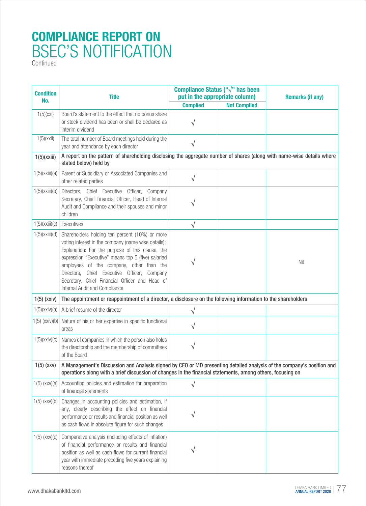| <b>Condition</b><br>No. | <b>Title</b>                                                                                                                                                                                                                                                                                                                                                                                  | Compliance Status (" $\sqrt{ }$ " has been<br>put in the appropriate column) |                     | <b>Remarks (if any)</b> |
|-------------------------|-----------------------------------------------------------------------------------------------------------------------------------------------------------------------------------------------------------------------------------------------------------------------------------------------------------------------------------------------------------------------------------------------|------------------------------------------------------------------------------|---------------------|-------------------------|
|                         |                                                                                                                                                                                                                                                                                                                                                                                               | <b>Complied</b>                                                              | <b>Not Complied</b> |                         |
| 1(5)(xxi)               | Board's statement to the effect that no bonus share<br>or stock dividend has been or shall be declared as<br>interim dividend                                                                                                                                                                                                                                                                 | V                                                                            |                     |                         |
| $1(5)$ (xxii)           | The total number of Board meetings held during the<br>year and attendance by each director                                                                                                                                                                                                                                                                                                    | $\sqrt{}$                                                                    |                     |                         |
| $1(5)$ (xxiii)          | A report on the pattern of shareholding disclosing the aggregate number of shares (along with name-wise details where<br>stated below) held by                                                                                                                                                                                                                                                |                                                                              |                     |                         |
| 1(5)(xxiii)(a)          | Parent or Subsidiary or Associated Companies and<br>other related parties                                                                                                                                                                                                                                                                                                                     | $\sqrt{}$                                                                    |                     |                         |
| $1(5)$ (xxiii)(b)       | Directors, Chief Executive Officer, Company<br>Secretary, Chief Financial Officer, Head of Internal<br>Audit and Compliance and their spouses and minor<br>children                                                                                                                                                                                                                           | V                                                                            |                     |                         |
| 1(5)(xxiii)(c)          | Executives                                                                                                                                                                                                                                                                                                                                                                                    | $\sqrt{}$                                                                    |                     |                         |
| 1(5)(xxiii)(d)          | Shareholders holding ten percent (10%) or more<br>voting interest in the company (name wise details);<br>Explanation: For the purpose of this clause, the<br>expression "Executive" means top 5 (five) salaried<br>employees of the company, other than the<br>Directors, Chief Executive Officer, Company<br>Secretary, Chief Financial Officer and Head of<br>Internal Audit and Compliance | V                                                                            |                     | Nil                     |
| $1(5)$ (xxiv)           | The appointment or reappointment of a director, a disclosure on the following information to the shareholders                                                                                                                                                                                                                                                                                 |                                                                              |                     |                         |
| 1(5)(xxiv)(a)           | A brief resume of the director                                                                                                                                                                                                                                                                                                                                                                | $\sqrt{}$                                                                    |                     |                         |
| $1(5)$ (xxiv)(b)        | Nature of his or her expertise in specific functional<br>areas                                                                                                                                                                                                                                                                                                                                | √                                                                            |                     |                         |
| 1(5)(xxiv)(c)           | Names of companies in which the person also holds<br>the directorship and the membership of committees<br>of the Board                                                                                                                                                                                                                                                                        | V                                                                            |                     |                         |
| $1(5)$ (xxv)            | A Management's Discussion and Analysis signed by CEO or MD presenting detailed analysis of the company's position and<br>operations along with a brief discussion of changes in the financial statements, among others, focusing on                                                                                                                                                           |                                                                              |                     |                         |
| $1(5)$ (xxv)(a)         | Accounting policies and estimation for preparation<br>of financial statements                                                                                                                                                                                                                                                                                                                 | $\sqrt{}$                                                                    |                     |                         |
| $1(5)$ (xxv)(b)         | Changes in accounting policies and estimation, if<br>any, clearly describing the effect on financial<br>performance or results and financial position as well<br>as cash flows in absolute figure for such changes                                                                                                                                                                            | V                                                                            |                     |                         |
| $1(5)$ (xxv)(c)         | Comparative analysis (including effects of inflation)<br>of financial performance or results and financial<br>position as well as cash flows for current financial<br>year with immediate preceding five years explaining<br>reasons thereof                                                                                                                                                  | V                                                                            |                     |                         |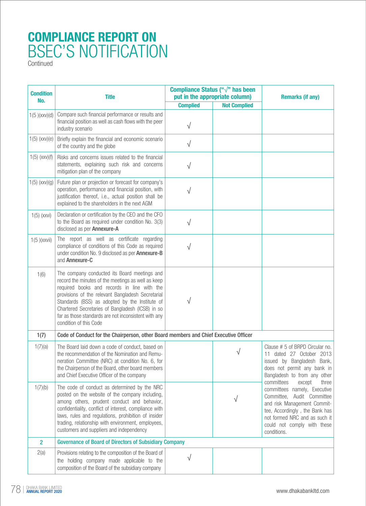| <b>Condition</b><br>No. | <b>Title</b>                                                                                                                                                                                                                                                                                                                                                                                   | Compliance Status (" $\sqrt{ }$ " has been<br>put in the appropriate column) |                     | <b>Remarks (if any)</b>                                                                                                                                                                                                                     |
|-------------------------|------------------------------------------------------------------------------------------------------------------------------------------------------------------------------------------------------------------------------------------------------------------------------------------------------------------------------------------------------------------------------------------------|------------------------------------------------------------------------------|---------------------|---------------------------------------------------------------------------------------------------------------------------------------------------------------------------------------------------------------------------------------------|
|                         |                                                                                                                                                                                                                                                                                                                                                                                                | <b>Complied</b>                                                              | <b>Not Complied</b> |                                                                                                                                                                                                                                             |
| 1(5)(xxx)(d)            | Compare such financial performance or results and<br>financial position as well as cash flows with the peer<br>industry scenario                                                                                                                                                                                                                                                               | $\sqrt{}$                                                                    |                     |                                                                                                                                                                                                                                             |
| $1(5)$ (xxv)(e)         | Briefly explain the financial and economic scenario<br>of the country and the globe                                                                                                                                                                                                                                                                                                            | $\sqrt{}$                                                                    |                     |                                                                                                                                                                                                                                             |
| $1(5)$ (xxv)(f)         | Risks and concerns issues related to the financial<br>statements, explaining such risk and concerns<br>mitigation plan of the company                                                                                                                                                                                                                                                          | √                                                                            |                     |                                                                                                                                                                                                                                             |
| $1(5)$ (xxv)(g)         | Future plan or projection or forecast for company's<br>operation, performance and financial position, with<br>justification thereof, i.e., actual position shall be<br>explained to the shareholders in the next AGM                                                                                                                                                                           | V                                                                            |                     |                                                                                                                                                                                                                                             |
| $1(5)$ (xxvi)           | Declaration or certification by the CEO and the CFO<br>to the Board as required under condition No. 3(3)<br>disclosed as per Annexure-A                                                                                                                                                                                                                                                        | $\sqrt{}$                                                                    |                     |                                                                                                                                                                                                                                             |
| 1(5)(xxxii)             | The report as well as certificate regarding<br>compliance of conditions of this Code as required<br>under condition No. 9 disclosed as per Annexure-B<br>and Annexure-C                                                                                                                                                                                                                        | $\sqrt{}$                                                                    |                     |                                                                                                                                                                                                                                             |
| 1(6)                    | The company conducted its Board meetings and<br>record the minutes of the meetings as well as keep<br>required books and records in line with the<br>provisions of the relevant Bangladesh Secretarial<br>Standards (BSS) as adopted by the Institute of<br>Chartered Secretaries of Bangladesh (ICSB) in so<br>far as those standards are not inconsistent with any<br>condition of this Code | V                                                                            |                     |                                                                                                                                                                                                                                             |
| 1(7)                    | Code of Conduct for the Chairperson, other Board members and Chief Executive Officer                                                                                                                                                                                                                                                                                                           |                                                                              |                     |                                                                                                                                                                                                                                             |
| 1(7)(a)                 | The Board laid down a code of conduct, based on<br>the recommendation of the Nomination and Remu-<br>neration Committee (NRC) at condition No. 6, for<br>the Chairperson of the Board, other board members<br>and Chief Executive Officer of the company                                                                                                                                       |                                                                              |                     | Clause # 5 of BRPD Circular no.<br>11 dated 27 October 2013<br>issued by Bangladesh Bank,<br>does not permit any bank in<br>Bangladesh to from any other                                                                                    |
| 1(7)(b)                 | The code of conduct as determined by the NRC<br>posted on the website of the company including,<br>among others, prudent conduct and behavior,<br>confidentiality, conflict of interest, compliance with<br>laws, rules and regulations, prohibition of insider<br>trading, relationship with environment, employees,<br>customers and suppliers and independency                              |                                                                              | V                   | committees<br>except<br>three<br>committees namely, Executive<br>Committee, Audit Committee<br>and risk Management Commit-<br>tee, Accordingly, the Bank has<br>not formed NRC and as such it<br>could not comply with these<br>conditions. |
| $\mathbf{2}$            | <b>Governance of Board of Directors of Subsidiary Company</b>                                                                                                                                                                                                                                                                                                                                  |                                                                              |                     |                                                                                                                                                                                                                                             |
| 2(a)                    | Provisions relating to the composition of the Board of<br>the holding company made applicable to the<br>composition of the Board of the subsidiary company                                                                                                                                                                                                                                     |                                                                              |                     |                                                                                                                                                                                                                                             |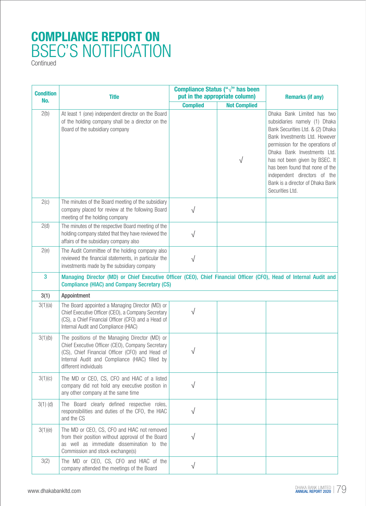| <b>Condition</b><br>No. | Compliance Status (" $\sqrt{ }$ " has been<br>put in the appropriate column)<br><b>Title</b>                                                                                                                                     |                 | <b>Remarks (if any)</b> |                                                                                                                                                                                                                                                                                                                                                                 |
|-------------------------|----------------------------------------------------------------------------------------------------------------------------------------------------------------------------------------------------------------------------------|-----------------|-------------------------|-----------------------------------------------------------------------------------------------------------------------------------------------------------------------------------------------------------------------------------------------------------------------------------------------------------------------------------------------------------------|
|                         |                                                                                                                                                                                                                                  | <b>Complied</b> | <b>Not Complied</b>     |                                                                                                                                                                                                                                                                                                                                                                 |
| 2(b)                    | At least 1 (one) independent director on the Board<br>of the holding company shall be a director on the<br>Board of the subsidiary company                                                                                       |                 | $\sqrt{ }$              | Dhaka Bank Limited has two<br>subsidiaries namely (1) Dhaka<br>Bank Securities Ltd. & (2) Dhaka<br>Bank Investments Ltd. However<br>permission for the operations of<br>Dhaka Bank Investments Ltd.<br>has not been given by BSEC. It<br>has been found that none of the<br>independent directors of the<br>Bank is a director of Dhaka Bank<br>Securities Ltd. |
| 2(c)                    | The minutes of the Board meeting of the subsidiary<br>company placed for review at the following Board<br>meeting of the holding company                                                                                         | $\sqrt{}$       |                         |                                                                                                                                                                                                                                                                                                                                                                 |
| 2(d)                    | The minutes of the respective Board meeting of the<br>holding company stated that they have reviewed the<br>affairs of the subsidiary company also                                                                               | $\sqrt{}$       |                         |                                                                                                                                                                                                                                                                                                                                                                 |
| 2(e)                    | The Audit Committee of the holding company also<br>reviewed the financial statements, in particular the<br>investments made by the subsidiary company                                                                            | $\sqrt{}$       |                         |                                                                                                                                                                                                                                                                                                                                                                 |
| 3                       | Managing Director (MD) or Chief Executive Officer (CEO), Chief Financial Officer (CFO), Head of Internal Audit and<br><b>Compliance (HIAC) and Company Secretary (CS)</b>                                                        |                 |                         |                                                                                                                                                                                                                                                                                                                                                                 |
| 3(1)                    | Appointment                                                                                                                                                                                                                      |                 |                         |                                                                                                                                                                                                                                                                                                                                                                 |
| 3(1)(a)                 | The Board appointed a Managing Director (MD) or<br>Chief Executive Officer (CEO), a Company Secretary<br>(CS), a Chief Financial Officer (CFO) and a Head of<br>Internal Audit and Compliance (HIAC)                             | $\sqrt{}$       |                         |                                                                                                                                                                                                                                                                                                                                                                 |
| 3(1)(b)                 | The positions of the Managing Director (MD) or<br>Chief Executive Officer (CEO), Company Secretary<br>(CS), Chief Financial Officer (CFO) and Head of<br>Internal Audit and Compliance (HIAC) filled by<br>different individuals |                 |                         |                                                                                                                                                                                                                                                                                                                                                                 |
| 3(1)(c)                 | The MD or CEO, CS, CFO and HIAC of a listed<br>company did not hold any executive position in<br>any other company at the same time                                                                                              | $\sqrt{}$       |                         |                                                                                                                                                                                                                                                                                                                                                                 |
| $3(1)$ (d)              | The Board clearly defined respective roles,<br>responsibilities and duties of the CFO, the HIAC<br>and the CS                                                                                                                    | $\sqrt{}$       |                         |                                                                                                                                                                                                                                                                                                                                                                 |
| 3(1)(e)                 | The MD or CEO, CS, CFO and HIAC not removed<br>from their position without approval of the Board<br>as well as immediate dissemination to the<br>Commission and stock exchange(s)                                                | V               |                         |                                                                                                                                                                                                                                                                                                                                                                 |
| 3(2)                    | The MD or CEO, CS, CFO and HIAC of the<br>company attended the meetings of the Board                                                                                                                                             | $\sqrt{}$       |                         |                                                                                                                                                                                                                                                                                                                                                                 |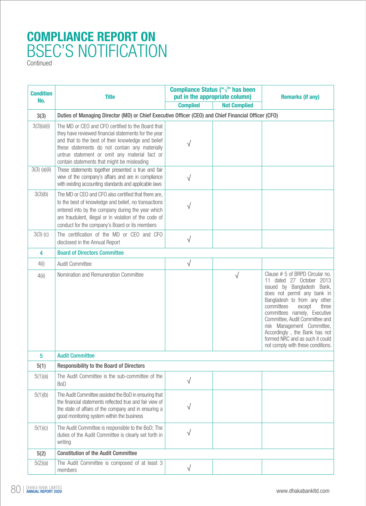| <b>Condition</b> | <b>Title</b>                                                                                                                                                                                                                                                                                                      | Compliance Status (" $\sqrt{ }$ " has been<br>put in the appropriate column) |                     | <b>Remarks (if any)</b>                                                                                                                                                                                                                                                                                                                                                                            |
|------------------|-------------------------------------------------------------------------------------------------------------------------------------------------------------------------------------------------------------------------------------------------------------------------------------------------------------------|------------------------------------------------------------------------------|---------------------|----------------------------------------------------------------------------------------------------------------------------------------------------------------------------------------------------------------------------------------------------------------------------------------------------------------------------------------------------------------------------------------------------|
| No.              |                                                                                                                                                                                                                                                                                                                   | <b>Complied</b>                                                              | <b>Not Complied</b> |                                                                                                                                                                                                                                                                                                                                                                                                    |
| 3(3)             | Duties of Managing Director (MD) or Chief Executive Officer (CEO) and Chief Financial Officer (CFO)                                                                                                                                                                                                               |                                                                              |                     |                                                                                                                                                                                                                                                                                                                                                                                                    |
| 3(3)(a)(i)       | The MD or CEO and CFO certified to the Board that<br>they have reviewed financial statements for the year<br>and that to the best of their knowledge and belief<br>these statements do not contain any materially<br>untrue statement or omit any material fact or<br>contain statements that might be misleading | √                                                                            |                     |                                                                                                                                                                                                                                                                                                                                                                                                    |
| $3(3)$ (a)(ii)   | These statements together presented a true and fair<br>view of the company's affairs and are in compliance<br>with existing accounting standards and applicable laws                                                                                                                                              | $\sqrt{}$                                                                    |                     |                                                                                                                                                                                                                                                                                                                                                                                                    |
| 3(3)(b)          | The MD or CEO and CFO also certified that there are,<br>to the best of knowledge and belief, no transactions<br>entered into by the company during the year which<br>are fraudulent, illegal or in violation of the code of<br>conduct for the company's Board or its members                                     | V                                                                            |                     |                                                                                                                                                                                                                                                                                                                                                                                                    |
| $3(3)$ (c)       | The certification of the MD or CEO and CFO<br>disclosed in the Annual Report                                                                                                                                                                                                                                      | $\sqrt{}$                                                                    |                     |                                                                                                                                                                                                                                                                                                                                                                                                    |
| 4                | <b>Board of Directors Committee</b>                                                                                                                                                                                                                                                                               |                                                                              |                     |                                                                                                                                                                                                                                                                                                                                                                                                    |
| 4(i)             | Audit Committee                                                                                                                                                                                                                                                                                                   | $\sqrt{}$                                                                    |                     |                                                                                                                                                                                                                                                                                                                                                                                                    |
| 4(i)             | Nomination and Remuneration Committee                                                                                                                                                                                                                                                                             |                                                                              | $\sqrt{}$           | Clause # 5 of BRPD Circular no.<br>11 dated 27 October 2013<br>issued by Bangladesh Bank,<br>does not permit any bank in<br>Bangladesh to from any other<br>committees<br>except<br>three<br>committees namely, Executive<br>Committee, Audit Committee and<br>risk Management Committee,<br>Accordingly, the Bank has not<br>formed NRC and as such it could<br>not comply with these conditions. |
| 5                | <b>Audit Committee</b>                                                                                                                                                                                                                                                                                            |                                                                              |                     |                                                                                                                                                                                                                                                                                                                                                                                                    |
| 5(1)             | <b>Responsibility to the Board of Directors</b>                                                                                                                                                                                                                                                                   |                                                                              |                     |                                                                                                                                                                                                                                                                                                                                                                                                    |
| 5(1)(a)          | The Audit Committee is the sub-committee of the<br><b>BoD</b>                                                                                                                                                                                                                                                     | $\sqrt{}$                                                                    |                     |                                                                                                                                                                                                                                                                                                                                                                                                    |
| 5(1)(b)          | The Audit Committee assisted the BoD in ensuring that<br>the financial statements reflected true and fair view of<br>the state of affairs of the company and in ensuring a<br>good monitoring system within the business                                                                                          | √                                                                            |                     |                                                                                                                                                                                                                                                                                                                                                                                                    |
| 5(1)(c)          | The Audit Committee is responsible to the BoD; The<br>duties of the Audit Committee is clearly set forth in<br>writing                                                                                                                                                                                            | $\sqrt{}$                                                                    |                     |                                                                                                                                                                                                                                                                                                                                                                                                    |
| 5(2)             | <b>Constitution of the Audit Committee</b>                                                                                                                                                                                                                                                                        |                                                                              |                     |                                                                                                                                                                                                                                                                                                                                                                                                    |
| 5(2)(a)          | The Audit Committee is composed of at least 3<br>members                                                                                                                                                                                                                                                          | $\sqrt{}$                                                                    |                     |                                                                                                                                                                                                                                                                                                                                                                                                    |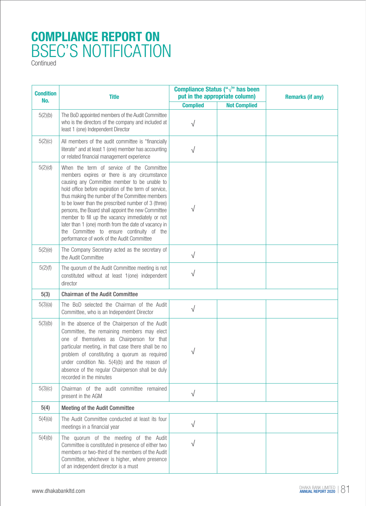| <b>Condition</b><br>No. | <b>Title</b>                                                                                                                                                                                                                                                                                                                                                                                                                                                                                                                                                              |                 | Compliance Status (" $\sqrt{ }$ " has been<br>put in the appropriate column) | <b>Remarks (if any)</b> |
|-------------------------|---------------------------------------------------------------------------------------------------------------------------------------------------------------------------------------------------------------------------------------------------------------------------------------------------------------------------------------------------------------------------------------------------------------------------------------------------------------------------------------------------------------------------------------------------------------------------|-----------------|------------------------------------------------------------------------------|-------------------------|
|                         |                                                                                                                                                                                                                                                                                                                                                                                                                                                                                                                                                                           | <b>Complied</b> | <b>Not Complied</b>                                                          |                         |
| 5(2)(b)                 | The BoD appointed members of the Audit Committee<br>who is the directors of the company and included at<br>least 1 (one) Independent Director                                                                                                                                                                                                                                                                                                                                                                                                                             | $\sqrt{}$       |                                                                              |                         |
| 5(2)(c)                 | All members of the audit committee is "financially<br>literate" and at least 1 (one) member has accounting<br>or related financial management experience                                                                                                                                                                                                                                                                                                                                                                                                                  | $\sqrt{}$       |                                                                              |                         |
| 5(2)(d)                 | When the term of service of the Committee<br>members expires or there is any circumstance<br>causing any Committee member to be unable to<br>hold office before expiration of the term of service,<br>thus making the number of the Committee members<br>to be lower than the prescribed number of 3 (three)<br>persons, the Board shall appoint the new Committee<br>member to fill up the vacancy immediately or not<br>later than 1 (one) month from the date of vacancy in<br>the Committee to ensure continuity of the<br>performance of work of the Audit Committee | $\sqrt{}$       |                                                                              |                         |
| 5(2)(e)                 | The Company Secretary acted as the secretary of<br>the Audit Committee                                                                                                                                                                                                                                                                                                                                                                                                                                                                                                    | $\sqrt{}$       |                                                                              |                         |
| 5(2)(f)                 | The quorum of the Audit Committee meeting is not<br>constituted without at least 1(one) independent<br>director                                                                                                                                                                                                                                                                                                                                                                                                                                                           | $\sqrt{}$       |                                                                              |                         |
| 5(3)                    | <b>Chairman of the Audit Committee</b>                                                                                                                                                                                                                                                                                                                                                                                                                                                                                                                                    |                 |                                                                              |                         |
| 5(3)(a)                 | The BoD selected the Chairman of the Audit<br>Committee, who is an Independent Director                                                                                                                                                                                                                                                                                                                                                                                                                                                                                   | $\sqrt{ }$      |                                                                              |                         |
| 5(3)(b)                 | In the absence of the Chairperson of the Audit<br>Committee, the remaining members may elect<br>one of themselves as Chairperson for that<br>particular meeting, in that case there shall be no<br>problem of constituting a quorum as required<br>under condition No. 5(4)(b) and the reason of<br>absence of the regular Chairperson shall be duly<br>recorded in the minutes                                                                                                                                                                                           | √               |                                                                              |                         |
| 5(3)(c)                 | Chairman of the audit committee remained<br>present in the AGM                                                                                                                                                                                                                                                                                                                                                                                                                                                                                                            | $\sqrt{}$       |                                                                              |                         |
| 5(4)                    | <b>Meeting of the Audit Committee</b>                                                                                                                                                                                                                                                                                                                                                                                                                                                                                                                                     |                 |                                                                              |                         |
| 5(4)(a)                 | The Audit Committee conducted at least its four<br>meetings in a financial year                                                                                                                                                                                                                                                                                                                                                                                                                                                                                           | $\sqrt{}$       |                                                                              |                         |
| 5(4)(b)                 | The quorum of the meeting of the Audit<br>Committee is constituted in presence of either two<br>members or two-third of the members of the Audit<br>Committee, whichever is higher, where presence<br>of an independent director is a must                                                                                                                                                                                                                                                                                                                                | V               |                                                                              |                         |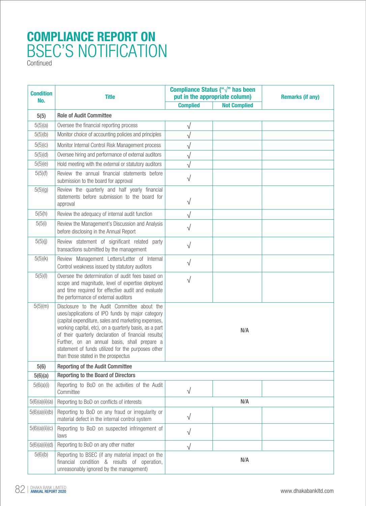| <b>Condition</b> | <b>Title</b>                                                                                                                                                                                                                                                                                                                                                                                                          | Compliance Status (" $\sqrt{ }$ " has been<br>put in the appropriate column) |                     | <b>Remarks (if any)</b> |
|------------------|-----------------------------------------------------------------------------------------------------------------------------------------------------------------------------------------------------------------------------------------------------------------------------------------------------------------------------------------------------------------------------------------------------------------------|------------------------------------------------------------------------------|---------------------|-------------------------|
| No.              |                                                                                                                                                                                                                                                                                                                                                                                                                       | <b>Complied</b>                                                              | <b>Not Complied</b> |                         |
| 5(5)             | <b>Role of Audit Committee</b>                                                                                                                                                                                                                                                                                                                                                                                        |                                                                              |                     |                         |
| 5(5)(a)          | Oversee the financial reporting process                                                                                                                                                                                                                                                                                                                                                                               | V                                                                            |                     |                         |
| 5(5)(b)          | Monitor choice of accounting policies and principles                                                                                                                                                                                                                                                                                                                                                                  | $\sqrt{}$                                                                    |                     |                         |
| 5(5)(c)          | Monitor Internal Control Risk Management process                                                                                                                                                                                                                                                                                                                                                                      | V                                                                            |                     |                         |
| 5(5)(d)          | Oversee hiring and performance of external auditors                                                                                                                                                                                                                                                                                                                                                                   | $\sqrt{}$                                                                    |                     |                         |
| 5(5)(e)          | Hold meeting with the external or statutory auditors                                                                                                                                                                                                                                                                                                                                                                  |                                                                              |                     |                         |
| 5(5)(f)          | Review the annual financial statements before<br>submission to the board for approval                                                                                                                                                                                                                                                                                                                                 | $\sqrt{}$                                                                    |                     |                         |
| 5(5)(g)          | Review the quarterly and half yearly financial<br>statements before submission to the board for<br>approval                                                                                                                                                                                                                                                                                                           | $\sqrt{}$                                                                    |                     |                         |
| 5(5(h)           | Review the adequacy of internal audit function                                                                                                                                                                                                                                                                                                                                                                        |                                                                              |                     |                         |
| 5(5(i))          | Review the Management's Discussion and Analysis<br>before disclosing in the Annual Report                                                                                                                                                                                                                                                                                                                             | $\sqrt{}$                                                                    |                     |                         |
| 5(5)(j)          | Review statement of significant related party<br>transactions submitted by the management                                                                                                                                                                                                                                                                                                                             | $\sqrt{}$                                                                    |                     |                         |
| 5(5)(k)          | Review Management Letters/Letter of Internal<br>Control weakness issued by statutory auditors                                                                                                                                                                                                                                                                                                                         | $\sqrt{}$                                                                    |                     |                         |
| 5(5)(1)          | Oversee the determination of audit fees based on<br>scope and magnitude, level of expertise deployed<br>and time required for effective audit and evaluate<br>the performance of external auditors                                                                                                                                                                                                                    | $\sqrt{}$                                                                    |                     |                         |
| 5(5)(m)          | Disclosure to the Audit Committee about the<br>uses/applications of IPO funds by major category<br>(capital expenditure, sales and marketing expenses,<br>working capital, etc), on a quarterly basis, as a part<br>of their quarterly declaration of financial results(<br>Further, on an annual basis, shall prepare a<br>statement of funds utilized for the purposes other<br>than those stated in the prospectus | N/A                                                                          |                     |                         |
| 5(6)             | <b>Reporting of the Audit Committee</b>                                                                                                                                                                                                                                                                                                                                                                               |                                                                              |                     |                         |
| 5(6)(a)          | <b>Reporting to the Board of Directors</b>                                                                                                                                                                                                                                                                                                                                                                            |                                                                              |                     |                         |
| 5(6(a)(i))       | Reporting to BoD on the activities of the Audit<br>Committee                                                                                                                                                                                                                                                                                                                                                          | $\sqrt{}$                                                                    |                     |                         |
| 5(6)(a)(ii)(a)   | Reporting to BoD on conflicts of interests                                                                                                                                                                                                                                                                                                                                                                            | N/A                                                                          |                     |                         |
| 5(6)(a)(ii)(b)   | Reporting to BoD on any fraud or irregularity or<br>material defect in the internal control system                                                                                                                                                                                                                                                                                                                    | $\sqrt{}$                                                                    |                     |                         |
| 5(6)(a)(ii)(c)   | Reporting to BoD on suspected infringement of<br>laws                                                                                                                                                                                                                                                                                                                                                                 | V                                                                            |                     |                         |
| 5(6)(a)(ii)(d)   | Reporting to BoD on any other matter                                                                                                                                                                                                                                                                                                                                                                                  |                                                                              |                     |                         |
| 5(6)(b)          | Reporting to BSEC (if any material impact on the<br>financial condition & results of operation,<br>unreasonably ignored by the management)                                                                                                                                                                                                                                                                            |                                                                              | N/A                 |                         |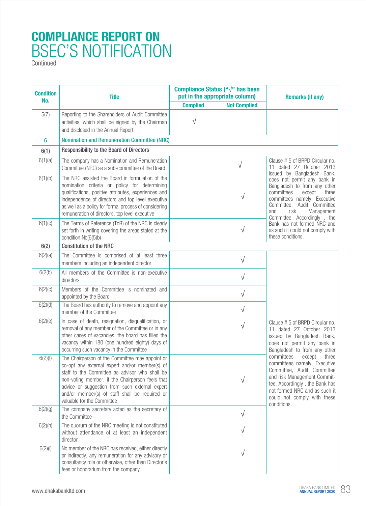| <b>Condition</b><br>No. | <b>Title</b>                                                                                                                                                                                                                                                                                                                              | Compliance Status (" $\sqrt{ }$ " has been<br>put in the appropriate column) |                     | <b>Remarks (if any)</b>                                                                                                                                                                                                                                                                                                                                                                                     |
|-------------------------|-------------------------------------------------------------------------------------------------------------------------------------------------------------------------------------------------------------------------------------------------------------------------------------------------------------------------------------------|------------------------------------------------------------------------------|---------------------|-------------------------------------------------------------------------------------------------------------------------------------------------------------------------------------------------------------------------------------------------------------------------------------------------------------------------------------------------------------------------------------------------------------|
|                         |                                                                                                                                                                                                                                                                                                                                           | <b>Complied</b>                                                              | <b>Not Complied</b> |                                                                                                                                                                                                                                                                                                                                                                                                             |
| 5(7)                    | Reporting to the Shareholders of Audit Committee<br>activities, which shall be signed by the Chairman<br>and disclosed in the Annual Report                                                                                                                                                                                               | V                                                                            |                     |                                                                                                                                                                                                                                                                                                                                                                                                             |
| 6                       | <b>Nomination and Remuneration Committee (NRC)</b>                                                                                                                                                                                                                                                                                        |                                                                              |                     |                                                                                                                                                                                                                                                                                                                                                                                                             |
| 6(1)                    | <b>Responsibility to the Board of Directors</b>                                                                                                                                                                                                                                                                                           |                                                                              |                     |                                                                                                                                                                                                                                                                                                                                                                                                             |
| 6(1)(a)                 | The company has a Nomination and Remuneration<br>Committee (NRC) as a sub-committee of the Board                                                                                                                                                                                                                                          |                                                                              | $\sqrt{}$           | Clause # 5 of BRPD Circular no.<br>11 dated 27 October 2013<br>issued by Bangladesh Bank,<br>does not permit any bank in<br>Bangladesh to from any other<br>committees<br>three<br>except<br>committees namely, Executive<br>Committee, Audit Committee<br>risk<br>Management<br>and<br>Committee, Accordingly, the<br>Bank has not formed NRC and<br>as such it could not comply with<br>these conditions. |
| 6(1)(b)                 | The NRC assisted the Board in formulation of the<br>nomination criteria or policy for determining<br>qualifications, positive attributes, experiences and<br>independence of directors and top level executive<br>as well as a policy for formal process of considering<br>remuneration of directors, top level executive                 |                                                                              | $\sqrt{}$           |                                                                                                                                                                                                                                                                                                                                                                                                             |
| 6(1)(c)                 | The Terms of Reference (ToR) of the NRC is clearly<br>set forth in writing covering the areas stated at the<br>condition No(6(5(b)                                                                                                                                                                                                        |                                                                              | $\sqrt{}$           |                                                                                                                                                                                                                                                                                                                                                                                                             |
| 6(2)                    | <b>Constitution of the NRC</b>                                                                                                                                                                                                                                                                                                            |                                                                              |                     |                                                                                                                                                                                                                                                                                                                                                                                                             |
| 6(2)(a)                 | The Committee is comprised of at least three<br>members including an independent director                                                                                                                                                                                                                                                 |                                                                              | $\sqrt{}$           |                                                                                                                                                                                                                                                                                                                                                                                                             |
| 6(2(b)                  | All members of the Committee is non-executive<br>directors                                                                                                                                                                                                                                                                                |                                                                              | $\sqrt{}$           | Clause # 5 of BRPD Circular no.<br>11 dated 27 October 2013<br>issued by Bangladesh Bank,<br>does not permit any bank in<br>Bangladesh to from any other<br>committees<br>except<br>three<br>committees namely, Executive<br>Committee, Audit Committee<br>and risk Management Commit-<br>tee, Accordingly, the Bank has<br>not formed NRC and as such it<br>could not comply with these<br>conditions.     |
| 6(2)(c)                 | Members of the Committee is nominated and<br>appointed by the Board                                                                                                                                                                                                                                                                       |                                                                              | $\sqrt{}$           |                                                                                                                                                                                                                                                                                                                                                                                                             |
| 6(2)(d)                 | The Board has authority to remove and appoint any<br>member of the Committee                                                                                                                                                                                                                                                              |                                                                              | $\sqrt{}$           |                                                                                                                                                                                                                                                                                                                                                                                                             |
| 6(2)(e)                 | In case of death, resignation, disqualification, or<br>removal of any member of the Committee or in any<br>other cases of vacancies, the board has filled the<br>vacancy within 180 (one hundred eighty) days of<br>occurring such vacancy in the Committee                                                                               |                                                                              | $\sqrt{}$           |                                                                                                                                                                                                                                                                                                                                                                                                             |
| 6(2)(f)                 | The Chairperson of the Committee may appoint or<br>co-opt any external expert and/or member(s) of<br>staff to the Committee as advisor who shall be<br>non-voting member, if the Chairperson feels that<br>advice or suggestion from such external expert<br>and/or member(s) of staff shall be required or<br>valuable for the Committee |                                                                              | √                   |                                                                                                                                                                                                                                                                                                                                                                                                             |
| 6(2)(g)                 | The company secretary acted as the secretary of<br>the Committee                                                                                                                                                                                                                                                                          |                                                                              | $\sqrt{}$           |                                                                                                                                                                                                                                                                                                                                                                                                             |
| 6(2)(h)                 | The quorum of the NRC meeting is not constituted<br>without attendance of at least an independent<br>director                                                                                                                                                                                                                             |                                                                              | $\sqrt{}$           |                                                                                                                                                                                                                                                                                                                                                                                                             |
| 6(2)(i)                 | No member of the NRC has received, either directly<br>or indirectly, any remuneration for any advisory or<br>consultancy role or otherwise, other than Director's<br>fees or honorarium from the company                                                                                                                                  |                                                                              | $\sqrt{}$           |                                                                                                                                                                                                                                                                                                                                                                                                             |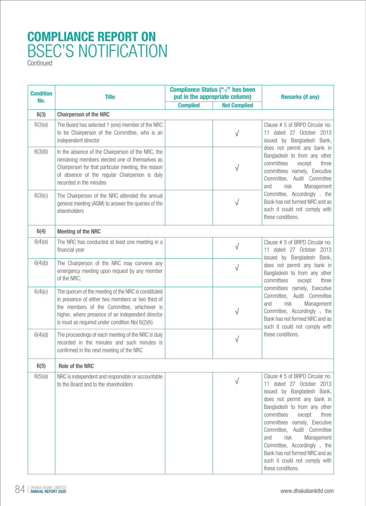| <b>Condition</b> | <b>Title</b>                                                                                                                                                                                                                                                   | Compliance Status (" $\sqrt{ }$ " has been<br>put in the appropriate column) |                     | <b>Remarks (if any)</b>                                                                                                                                                                                                                                                                                                                                                                                     |
|------------------|----------------------------------------------------------------------------------------------------------------------------------------------------------------------------------------------------------------------------------------------------------------|------------------------------------------------------------------------------|---------------------|-------------------------------------------------------------------------------------------------------------------------------------------------------------------------------------------------------------------------------------------------------------------------------------------------------------------------------------------------------------------------------------------------------------|
| No.              |                                                                                                                                                                                                                                                                | <b>Complied</b>                                                              | <b>Not Complied</b> |                                                                                                                                                                                                                                                                                                                                                                                                             |
| 6(3)             | <b>Chairperson of the NRC</b>                                                                                                                                                                                                                                  |                                                                              |                     |                                                                                                                                                                                                                                                                                                                                                                                                             |
| 6(3)(a)          | The Board has selected 1 (one) member of the NRC<br>to be Chairperson of the Committee, who is an<br>independent director                                                                                                                                      |                                                                              | $\sqrt{}$           | Clause # 5 of BRPD Circular no.<br>11 dated 27 October 2013<br>issued by Bangladesh Bank,<br>does not permit any bank in<br>Bangladesh to from any other<br>committees<br>except<br>three<br>committees namely, Executive<br>Committee, Audit Committee<br>risk<br>and<br>Management<br>Committee, Accordingly, the<br>Bank has not formed NRC and as<br>such it could not comply with<br>these conditions. |
| 6(3)(b)          | In the absence of the Chairperson of the NRC, the<br>remaining members elected one of themselves as<br>Chairperson for that particular meeting, the reason<br>of absence of the regular Chairperson is duly<br>recorded in the minutes                         |                                                                              | V                   |                                                                                                                                                                                                                                                                                                                                                                                                             |
| 6(3)(c)          | The Chairperson of the NRC attended the annual<br>general meeting (AGM) to answer the queries of the<br>shareholders                                                                                                                                           |                                                                              | V                   |                                                                                                                                                                                                                                                                                                                                                                                                             |
| 6(4)             | <b>Meeting of the NRC</b>                                                                                                                                                                                                                                      |                                                                              |                     |                                                                                                                                                                                                                                                                                                                                                                                                             |
| 6(4)(a)          | The NRC has conducted at least one meeting in a<br>financial year                                                                                                                                                                                              |                                                                              | $\sqrt{}$           | Clause # 5 of BRPD Circular no.<br>11 dated 27 October 2013                                                                                                                                                                                                                                                                                                                                                 |
| 6(4)(b)          | The Chairperson of the NRC may convene any<br>emergency meeting upon request by any member<br>of the NRC;                                                                                                                                                      |                                                                              | $\sqrt{}$           | issued by Bangladesh Bank,<br>does not permit any bank in<br>Bangladesh to from any other<br>committees<br>three<br>except<br>committees namely, Executive<br>Committee, Audit Committee<br>risk<br>Management<br>and<br>Committee, Accordingly, the<br>Bank has not formed NRC and as<br>such it could not comply with<br>these conditions.                                                                |
| 6(4)(c)          | The quorum of the meeting of the NRC is constituted<br>in presence of either two members or two third of<br>the members of the Committee, whichever is<br>higher, where presence of an independent director<br>is must as required under condition No( 6(2)(h) |                                                                              | $\sqrt{}$           |                                                                                                                                                                                                                                                                                                                                                                                                             |
| 6(4)(d)          | The proceedings of each meeting of the NRC is duly<br>recorded in the minutes and such minutes is<br>confirmed in the next meeting of the NRC                                                                                                                  |                                                                              | $\sqrt{}$           |                                                                                                                                                                                                                                                                                                                                                                                                             |
| 6(5)             | Role of the NRC                                                                                                                                                                                                                                                |                                                                              |                     |                                                                                                                                                                                                                                                                                                                                                                                                             |
| 6(5)(a)          | NRC is independent and responsible or accountable<br>to the Board and to the shareholders                                                                                                                                                                      |                                                                              | √                   | Clause # 5 of BRPD Circular no.<br>11 dated 27 October 2013<br>issued by Bangladesh Bank,<br>does not permit any bank in<br>Bangladesh to from any other<br>committees<br>except<br>three<br>committees namely, Executive<br>Committee, Audit Committee<br>risk<br>and<br>Management<br>Committee, Accordingly, the<br>Bank has not formed NRC and as<br>such it could not comply with<br>these conditions. |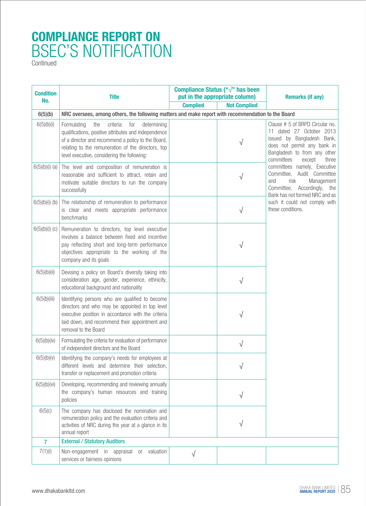| <b>Condition</b><br>No. | <b>Title</b>                                                                                                                                                                                                                                                            | Compliance Status (" $\sqrt{ }$ " has been<br>put in the appropriate column) |                     | <b>Remarks (if any)</b>                                                                                                                                                                   |  |
|-------------------------|-------------------------------------------------------------------------------------------------------------------------------------------------------------------------------------------------------------------------------------------------------------------------|------------------------------------------------------------------------------|---------------------|-------------------------------------------------------------------------------------------------------------------------------------------------------------------------------------------|--|
|                         |                                                                                                                                                                                                                                                                         | <b>Complied</b>                                                              | <b>Not Complied</b> |                                                                                                                                                                                           |  |
| 6(5)(b)                 | NRC oversees, among others, the following matters and make report with recommendation to the Board                                                                                                                                                                      |                                                                              |                     |                                                                                                                                                                                           |  |
| 6(5)(b)(i)              | criteria<br>determining<br>Formulating<br>the<br>for<br>qualifications, positive attributes and independence<br>of a director and recommend a policy to the Board,<br>relating to the remuneration of the directors, top<br>level executive, considering the following: |                                                                              | V                   | Clause # 5 of BRPD Circular no.<br>11 dated 27 October 2013<br>issued by Bangladesh Bank,<br>does not permit any bank in<br>Bangladesh to from any other<br>committees<br>except<br>three |  |
| $6(5)(b)(i)$ (a)        | The level and composition of remuneration is<br>reasonable and sufficient to attract, retain and<br>motivate suitable directors to run the company<br>successfully                                                                                                      |                                                                              | √                   | committees namely, Executive<br>Committee, Audit Committee<br>risk<br>Management<br>and<br>Committee, Accordingly, the<br>Bank has not formed NRC and as                                  |  |
| 6(5)(b)(i)(b)           | The relationship of remuneration to performance<br>is clear and meets appropriate performance<br>benchmarks                                                                                                                                                             |                                                                              | $\sqrt{}$           | such it could not comply with<br>these conditions.                                                                                                                                        |  |
| 6(5)(b)(i)(c)           | Remuneration to directors, top level executive<br>involves a balance between fixed and incentive<br>pay reflecting short and long-term performance<br>objectives appropriate to the working of the<br>company and its goals                                             |                                                                              | V                   |                                                                                                                                                                                           |  |
| 6(5)(b)(ii)             | Devising a policy on Board's diversity taking into<br>consideration age, gender, experience, ethnicity,<br>educational background and nationality                                                                                                                       |                                                                              | V                   |                                                                                                                                                                                           |  |
| 6(5(b)(iii)             | Identifying persons who are qualified to become<br>directors and who may be appointed in top level<br>executive position in accordance with the criteria<br>laid down, and recommend their appointment and<br>removal to the Board                                      |                                                                              | V                   |                                                                                                                                                                                           |  |
| 6(5)(b)(iv)             | Formulating the criteria for evaluation of performance<br>of independent directors and the Board                                                                                                                                                                        |                                                                              | V                   |                                                                                                                                                                                           |  |
| 6(5)(b)(v)              | Identifying the company's needs for employees at<br>different levels and determine their selection,<br>transfer or replacement and promotion criteria                                                                                                                   |                                                                              |                     |                                                                                                                                                                                           |  |
| 6(5)(b)(vi)             | Developing, recommending and reviewing annually<br>the company's human resources and training<br>policies                                                                                                                                                               |                                                                              | V                   |                                                                                                                                                                                           |  |
| 6(5(c)                  | The company has disclosed the nomination and<br>remuneration policy and the evaluation criteria and<br>activities of NRC during the year at a glance in its<br>annual report                                                                                            |                                                                              |                     |                                                                                                                                                                                           |  |
| $\overline{7}$          | <b>External / Statutory Auditors</b>                                                                                                                                                                                                                                    |                                                                              |                     |                                                                                                                                                                                           |  |
| 7(1)(i)                 | Non-engagement in appraisal<br>valuation<br><b>or</b><br>services or fairness opinions                                                                                                                                                                                  | V                                                                            |                     |                                                                                                                                                                                           |  |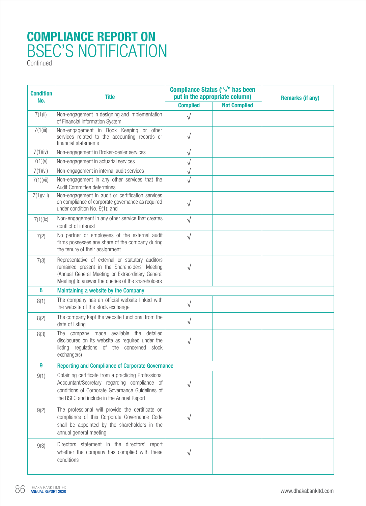| <b>Condition</b><br>No. | <b>Title</b>                                                                                                                                                                                                | Compliance Status (" $\sqrt{ }$ " has been<br>put in the appropriate column) |                     | <b>Remarks (if any)</b> |  |
|-------------------------|-------------------------------------------------------------------------------------------------------------------------------------------------------------------------------------------------------------|------------------------------------------------------------------------------|---------------------|-------------------------|--|
|                         |                                                                                                                                                                                                             | <b>Complied</b>                                                              | <b>Not Complied</b> |                         |  |
| 7(1(ii)                 | Non-engagement in designing and implementation<br>of Financial Information System                                                                                                                           | √                                                                            |                     |                         |  |
| 7(1(iii))               | Non-engagement in Book Keeping or other<br>services related to the accounting records or<br>financial statements                                                                                            | V                                                                            |                     |                         |  |
| 7(1)(iv)                | Non-engagement in Broker-dealer services                                                                                                                                                                    | $\sqrt{}$                                                                    |                     |                         |  |
| 7(1)(v)                 | Non-engagement in actuarial services                                                                                                                                                                        | $\sqrt{}$                                                                    |                     |                         |  |
| 7(1)(vi)                | Non-engagement in internal audit services                                                                                                                                                                   | $\sqrt{}$                                                                    |                     |                         |  |
| 7(1)(iii)               | Non-engagement in any other services that the<br>Audit Committee determines                                                                                                                                 | $\sqrt{}$                                                                    |                     |                         |  |
| 7(1)(viii)              | Non-engagement in audit or certification services<br>on compliance of corporate governance as required<br>under condition No. 9(1); and                                                                     | $\sqrt{}$                                                                    |                     |                         |  |
| 7(1)(ix)                | Non-engagement in any other service that creates<br>conflict of interest                                                                                                                                    | $\sqrt{}$                                                                    |                     |                         |  |
| 7(2)                    | No partner or employees of the external audit<br>firms possesses any share of the company during<br>the tenure of their assignment                                                                          | $\sqrt{}$                                                                    |                     |                         |  |
| 7(3)                    | Representative of external or statutory auditors<br>remained present in the Shareholders' Meeting<br>(Annual General Meeting or Extraordinary General<br>Meeting) to answer the queries of the shareholders | $\sqrt{}$                                                                    |                     |                         |  |
| 8                       | Maintaining a website by the Company                                                                                                                                                                        |                                                                              |                     |                         |  |
| 8(1)                    | The company has an official website linked with<br>the website of the stock exchange                                                                                                                        | $\sqrt{}$                                                                    |                     |                         |  |
| 8(2)                    | The company kept the website functional from the<br>date of listing                                                                                                                                         | $\sqrt{}$                                                                    |                     |                         |  |
| 8(3)                    | The company made available the detailed<br>disclosures on its website as required under the<br>listing regulations of the concerned stock<br>exchange(s)                                                    | V                                                                            |                     |                         |  |
| $\boldsymbol{9}$        | <b>Reporting and Compliance of Corporate Governance</b>                                                                                                                                                     |                                                                              |                     |                         |  |
| 9(1)                    | Obtaining certificate from a practicing Professional<br>Accountant/Secretary regarding compliance of<br>conditions of Corporate Governance Guidelines of<br>the BSEC and include in the Annual Report       |                                                                              |                     |                         |  |
| 9(2)                    | The professional will provide the certificate on<br>compliance of this Corporate Governance Code<br>shall be appointed by the shareholders in the<br>annual general meeting                                 |                                                                              |                     |                         |  |
| 9(3)                    | Directors statement in the directors' report<br>whether the company has complied with these<br>conditions                                                                                                   |                                                                              |                     |                         |  |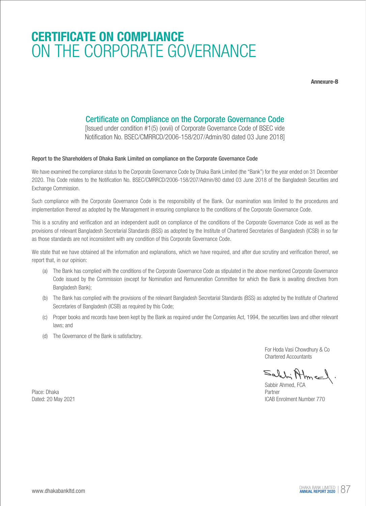### **CERTIFICATE ON COMPLIANCE** ON THE CORPORATE GOVERNANCE

**Annexure-B**

#### Certificate on Compliance on the Corporate Governance Code

[Issued under condition #1(5) (xxvii) of Corporate Governance Code of BSEC vide Notification No. BSEC/CMRRCD/2006-158/207/Admin/80 dated 03 June 2018]

#### Report to the Shareholders of Dhaka Bank Limited on compliance on the Corporate Governance Code

We have examined the compliance status to the Corporate Governance Code by Dhaka Bank Limited (the "Bank") for the year ended on 31 December 2020. This Code relates to the Notification No. BSEC/CMRRCD/2006-158/207/Admin/80 dated 03 June 2018 of the Bangladesh Securities and Exchange Commission.

Such compliance with the Corporate Governance Code is the responsibility of the Bank. Our examination was limited to the procedures and implementation thereof as adopted by the Management in ensuring compliance to the conditions of the Corporate Governance Code.

This is a scrutiny and verification and an independent audit on compliance of the conditions of the Corporate Governance Code as well as the provisions of relevant Bangladesh Secretarial Standards (BSS) as adopted by the Institute of Chartered Secretaries of Bangladesh (ICSB) in so far as those standards are not inconsistent with any condition of this Corporate Governance Code.

We state that we have obtained all the information and explanations, which we have required, and after due scrutiny and verification thereof, we report that, in our opinion:

- (a) The Bank has complied with the conditions of the Corporate Governance Code as stipulated in the above mentioned Corporate Governance Code issued by the Commission (except for Nomination and Remuneration Committee for which the Bank is awaiting directives from Bangladesh Bank);
- (b) The Bank has complied with the provisions of the relevant Bangladesh Secretarial Standards (BSS) as adopted by the Institute of Chartered Secretaries of Bangladesh (ICSB) as required by this Code;
- (c) Proper books and records have been kept by the Bank as required under the Companies Act, 1994, the securities laws and other relevant laws; and
- (d) The Governance of the Bank is satisfactory.

For Hoda Vasi Chowdhury & Co Chartered Accountants

Sahhi Almed.

Sabbir Ahmed, FCA Dated: 20 May 2021 **ICAB Enrolment Number 770** 

Place: Dhaka Partner